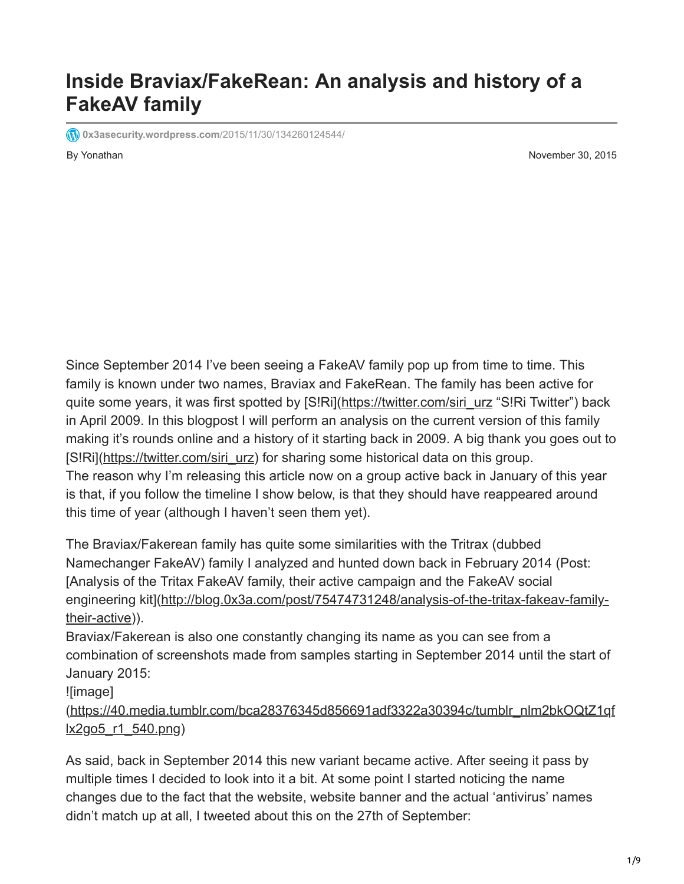## **Inside Braviax/FakeRean: An analysis and history of a FakeAV family**

**1[0x3asecurity.wordpress.com](https://0x3asecurity.wordpress.com/2015/11/30/134260124544/)/2015/11/30/134260124544/** 

By Yonathan November 30, 2015

Since September 2014 I've been seeing a FakeAV family pop up from time to time. This family is known under two names, Braviax and FakeRean. The family has been active for quite some years, it was first spotted by [S!Ri]([https://twitter.com/siri\\_urz](https://twitter.com/siri_urz) "S!Ri Twitter") back in April 2009. In this blogpost I will perform an analysis on the current version of this family making it's rounds online and a history of it starting back in 2009. A big thank you goes out to [S!Ri][\(https://twitter.com/siri\\_urz\)](https://twitter.com/siri_urz) for sharing some historical data on this group. The reason why I'm releasing this article now on a group active back in January of this year is that, if you follow the timeline I show below, is that they should have reappeared around this time of year (although I haven't seen them yet).

The Braviax/Fakerean family has quite some similarities with the Tritrax (dubbed Namechanger FakeAV) family I analyzed and hunted down back in February 2014 (Post: [Analysis of the Tritax FakeAV family, their active campaign and the FakeAV social [engineering kit\]\(http://blog.0x3a.com/post/75474731248/analysis-of-the-tritax-fakeav-family](http://blog.0x3a.com/post/75474731248/analysis-of-the-tritax-fakeav-family-their-active)their-active)).

Braviax/Fakerean is also one constantly changing its name as you can see from a combination of screenshots made from samples starting in September 2014 until the start of January 2015:

![image]

[\(https://40.media.tumblr.com/bca28376345d856691adf3322a30394c/tumblr\\_nlm2bkOQtZ1qf](https://40.media.tumblr.com/bca28376345d856691adf3322a30394c/tumblr_nlm2bkOQtZ1qflx2go5_r1_540.png) lx2go5\_r1\_540.png)

As said, back in September 2014 this new variant became active. After seeing it pass by multiple times I decided to look into it a bit. At some point I started noticing the name changes due to the fact that the website, website banner and the actual 'antivirus' names didn't match up at all, I tweeted about this on the 27th of September: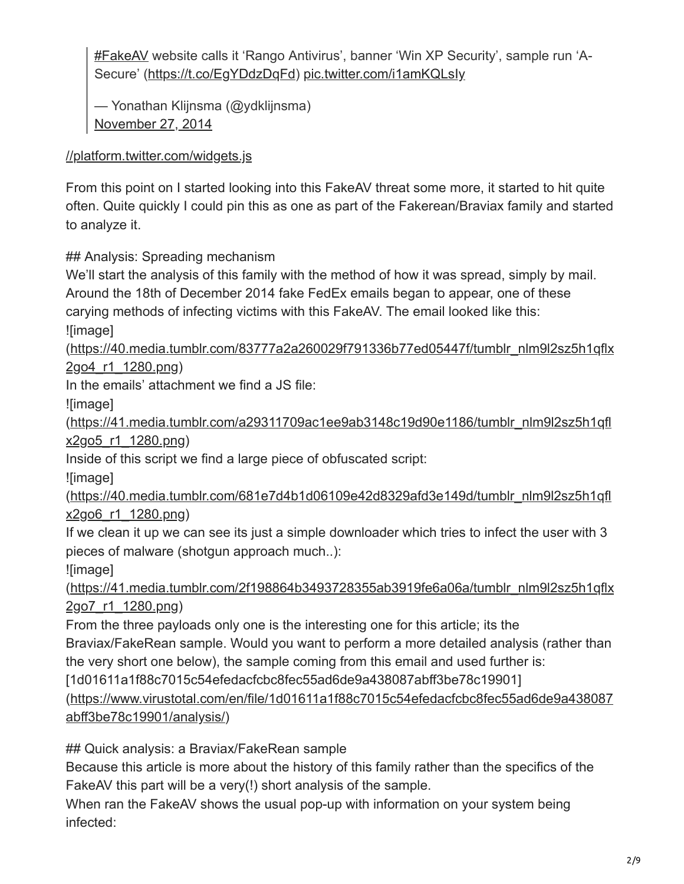[#FakeAV](https://twitter.com/hashtag/FakeAV?src=hash) website calls it 'Rango Antivirus', banner 'Win XP Security', sample run 'A-Secure' ([https://t.co/EgYDdzDqFd\)](https://t.co/EgYDdzDqFd) [pic.twitter.com/i1amKQLsIy](http://t.co/i1amKQLsIy)

— Yonathan Klijnsma (@ydklijnsma) [November 27, 2014](https://twitter.com/ydklijnsma/status/537871852606328832)

[//platform.twitter.com/widgets.js](https://platform.twitter.com/widgets.js)

From this point on I started looking into this FakeAV threat some more, it started to hit quite often. Quite quickly I could pin this as one as part of the Fakerean/Braviax family and started to analyze it.

## Analysis: Spreading mechanism

We'll start the analysis of this family with the method of how it was spread, simply by mail. Around the 18th of December 2014 fake FedEx emails began to appear, one of these carying methods of infecting victims with this FakeAV. The email looked like this: ![image]

[\(https://40.media.tumblr.com/83777a2a260029f791336b77ed05447f/tumblr\\_nlm9l2sz5h1qflx](https://40.media.tumblr.com/83777a2a260029f791336b77ed05447f/tumblr_nlm9l2sz5h1qflx2go4_r1_1280.png) 2go4\_r1\_1280.png)

In the emails' attachment we find a JS file:

![image]

[\(https://41.media.tumblr.com/a29311709ac1ee9ab3148c19d90e1186/tumblr\\_nlm9l2sz5h1qfl](https://41.media.tumblr.com/a29311709ac1ee9ab3148c19d90e1186/tumblr_nlm9l2sz5h1qflx2go5_r1_1280.png) x2go5\_r1\_1280.png)

Inside of this script we find a large piece of obfuscated script:

![image]

[\(https://40.media.tumblr.com/681e7d4b1d06109e42d8329afd3e149d/tumblr\\_nlm9l2sz5h1qfl](https://40.media.tumblr.com/681e7d4b1d06109e42d8329afd3e149d/tumblr_nlm9l2sz5h1qflx2go6_r1_1280.png) x2go6\_r1\_1280.png)

If we clean it up we can see its just a simple downloader which tries to infect the user with 3 pieces of malware (shotgun approach much..):

![image]

[\(https://41.media.tumblr.com/2f198864b3493728355ab3919fe6a06a/tumblr\\_nlm9l2sz5h1qflx](https://41.media.tumblr.com/2f198864b3493728355ab3919fe6a06a/tumblr_nlm9l2sz5h1qflx2go7_r1_1280.png) 2go7\_r1\_1280.png)

From the three payloads only one is the interesting one for this article; its the

Braviax/FakeRean sample. Would you want to perform a more detailed analysis (rather than the very short one below), the sample coming from this email and used further is:

[1d01611a1f88c7015c54efedacfcbc8fec55ad6de9a438087abff3be78c19901]

[\(https://www.virustotal.com/en/file/1d01611a1f88c7015c54efedacfcbc8fec55ad6de9a438087](https://www.virustotal.com/en/file/1d01611a1f88c7015c54efedacfcbc8fec55ad6de9a438087abff3be78c19901/analysis/) abff3be78c19901/analysis/)

## Quick analysis: a Braviax/FakeRean sample

Because this article is more about the history of this family rather than the specifics of the FakeAV this part will be a very(!) short analysis of the sample.

When ran the FakeAV shows the usual pop-up with information on your system being infected: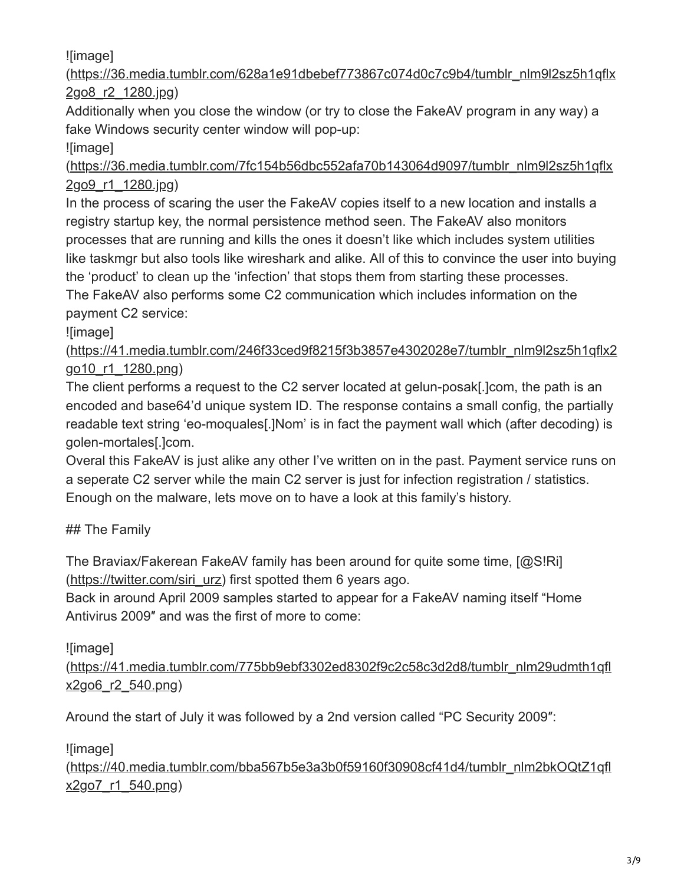![image]

[\(https://36.media.tumblr.com/628a1e91dbebef773867c074d0c7c9b4/tumblr\\_nlm9l2sz5h1qflx](https://36.media.tumblr.com/628a1e91dbebef773867c074d0c7c9b4/tumblr_nlm9l2sz5h1qflx2go8_r2_1280.jpg) 2go8\_r2\_1280.jpg)

Additionally when you close the window (or try to close the FakeAV program in any way) a fake Windows security center window will pop-up:

![image]

[\(https://36.media.tumblr.com/7fc154b56dbc552afa70b143064d9097/tumblr\\_nlm9l2sz5h1qflx](https://36.media.tumblr.com/7fc154b56dbc552afa70b143064d9097/tumblr_nlm9l2sz5h1qflx2go9_r1_1280.jpg) 2go9\_r1\_1280.jpg)

In the process of scaring the user the FakeAV copies itself to a new location and installs a registry startup key, the normal persistence method seen. The FakeAV also monitors processes that are running and kills the ones it doesn't like which includes system utilities like taskmgr but also tools like wireshark and alike. All of this to convince the user into buying the 'product' to clean up the 'infection' that stops them from starting these processes. The FakeAV also performs some C2 communication which includes information on the payment C2 service:

![image]

[\(https://41.media.tumblr.com/246f33ced9f8215f3b3857e4302028e7/tumblr\\_nlm9l2sz5h1qflx2](https://41.media.tumblr.com/246f33ced9f8215f3b3857e4302028e7/tumblr_nlm9l2sz5h1qflx2go10_r1_1280.png) go10\_r1\_1280.png)

The client performs a request to the C2 server located at gelun-posak[.]com, the path is an encoded and base64'd unique system ID. The response contains a small config, the partially readable text string 'eo-moquales[.]Nom' is in fact the payment wall which (after decoding) is golen-mortales[.]com.

Overal this FakeAV is just alike any other I've written on in the past. Payment service runs on a seperate C2 server while the main C2 server is just for infection registration / statistics. Enough on the malware, lets move on to have a look at this family's history.

## ## The Family

The Braviax/Fakerean FakeAV family has been around for quite some time, [@S!Ri] ([https://twitter.com/siri\\_urz](https://twitter.com/siri_urz)) first spotted them 6 years ago.

Back in around April 2009 samples started to appear for a FakeAV naming itself "Home Antivirus 2009″ and was the first of more to come:

![image]

[\(https://41.media.tumblr.com/775bb9ebf3302ed8302f9c2c58c3d2d8/tumblr\\_nlm29udmth1qfl](https://41.media.tumblr.com/775bb9ebf3302ed8302f9c2c58c3d2d8/tumblr_nlm29udmth1qflx2go6_r2_540.png) x2go6\_r2\_540.png)

Around the start of July it was followed by a 2nd version called "PC Security 2009″:

![image]

[\(https://40.media.tumblr.com/bba567b5e3a3b0f59160f30908cf41d4/tumblr\\_nlm2bkOQtZ1qfl](https://40.media.tumblr.com/bba567b5e3a3b0f59160f30908cf41d4/tumblr_nlm2bkOQtZ1qflx2go7_r1_540.png) x2go7\_r1\_540.png)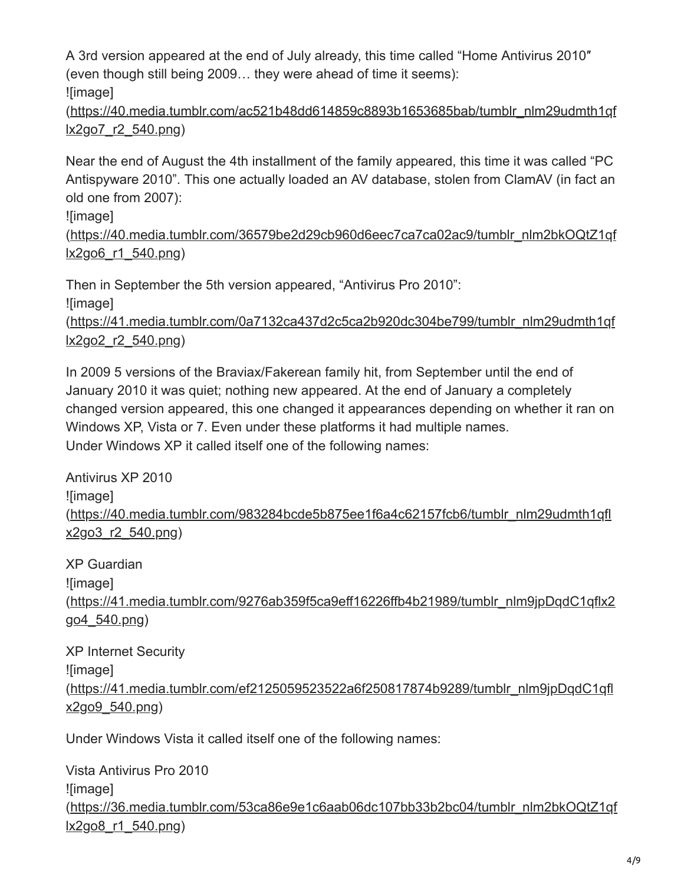A 3rd version appeared at the end of July already, this time called "Home Antivirus 2010″ (even though still being 2009… they were ahead of time it seems): ![image]

[\(https://40.media.tumblr.com/ac521b48dd614859c8893b1653685bab/tumblr\\_nlm29udmth1qf](https://40.media.tumblr.com/ac521b48dd614859c8893b1653685bab/tumblr_nlm29udmth1qflx2go7_r2_540.png) lx2go7\_r2\_540.png)

Near the end of August the 4th installment of the family appeared, this time it was called "PC Antispyware 2010". This one actually loaded an AV database, stolen from ClamAV (in fact an old one from 2007):

![image]

[\(https://40.media.tumblr.com/36579be2d29cb960d6eec7ca7ca02ac9/tumblr\\_nlm2bkOQtZ1qf](https://40.media.tumblr.com/36579be2d29cb960d6eec7ca7ca02ac9/tumblr_nlm2bkOQtZ1qflx2go6_r1_540.png) lx2go6\_r1\_540.png)

Then in September the 5th version appeared, "Antivirus Pro 2010": ![image] [\(https://41.media.tumblr.com/0a7132ca437d2c5ca2b920dc304be799/tumblr\\_nlm29udmth1qf](https://41.media.tumblr.com/0a7132ca437d2c5ca2b920dc304be799/tumblr_nlm29udmth1qflx2go2_r2_540.png)

lx2go2\_r2\_540.png)

In 2009 5 versions of the Braviax/Fakerean family hit, from September until the end of January 2010 it was quiet; nothing new appeared. At the end of January a completely changed version appeared, this one changed it appearances depending on whether it ran on Windows XP, Vista or 7. Even under these platforms it had multiple names. Under Windows XP it called itself one of the following names:

Antivirus XP 2010 ![image] [\(https://40.media.tumblr.com/983284bcde5b875ee1f6a4c62157fcb6/tumblr\\_nlm29udmth1qfl](https://40.media.tumblr.com/983284bcde5b875ee1f6a4c62157fcb6/tumblr_nlm29udmth1qflx2go3_r2_540.png) x2go3\_r2\_540.png)

XP Guardian ![image] [\(https://41.media.tumblr.com/9276ab359f5ca9eff16226ffb4b21989/tumblr\\_nlm9jpDqdC1qflx2](https://41.media.tumblr.com/9276ab359f5ca9eff16226ffb4b21989/tumblr_nlm9jpDqdC1qflx2go4_540.png) go4\_540.png)

XP Internet Security ![image] [\(https://41.media.tumblr.com/ef2125059523522a6f250817874b9289/tumblr\\_nlm9jpDqdC1qfl](https://41.media.tumblr.com/ef2125059523522a6f250817874b9289/tumblr_nlm9jpDqdC1qflx2go9_540.png) x2go9\_540.png)

Under Windows Vista it called itself one of the following names:

Vista Antivirus Pro 2010 ![image] [\(https://36.media.tumblr.com/53ca86e9e1c6aab06dc107bb33b2bc04/tumblr\\_nlm2bkOQtZ1qf](https://36.media.tumblr.com/53ca86e9e1c6aab06dc107bb33b2bc04/tumblr_nlm2bkOQtZ1qflx2go8_r1_540.png) lx2go8\_r1\_540.png)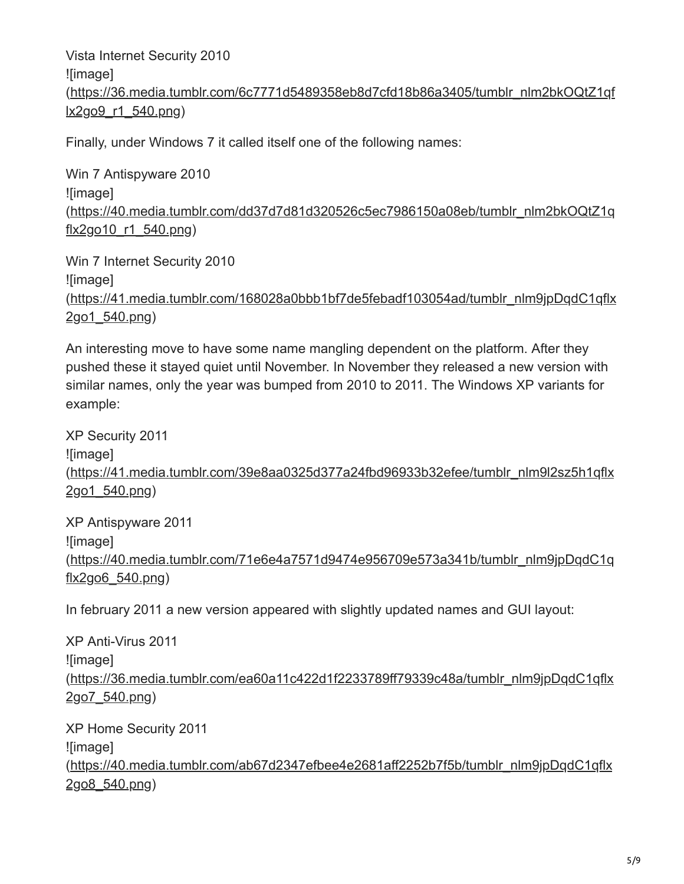Vista Internet Security 2010 ![image] [\(https://36.media.tumblr.com/6c7771d5489358eb8d7cfd18b86a3405/tumblr\\_nlm2bkOQtZ1qf](https://36.media.tumblr.com/6c7771d5489358eb8d7cfd18b86a3405/tumblr_nlm2bkOQtZ1qflx2go9_r1_540.png) lx2go9\_r1\_540.png)

Finally, under Windows 7 it called itself one of the following names:

Win 7 Antispyware 2010 ![image] [\(https://40.media.tumblr.com/dd37d7d81d320526c5ec7986150a08eb/tumblr\\_nlm2bkOQtZ1q](https://40.media.tumblr.com/dd37d7d81d320526c5ec7986150a08eb/tumblr_nlm2bkOQtZ1qflx2go10_r1_540.png) flx2go10\_r1\_540.png)

Win 7 Internet Security 2010 ![image] [\(https://41.media.tumblr.com/168028a0bbb1bf7de5febadf103054ad/tumblr\\_nlm9jpDqdC1qflx](https://41.media.tumblr.com/168028a0bbb1bf7de5febadf103054ad/tumblr_nlm9jpDqdC1qflx2go1_540.png) 2go1\_540.png)

An interesting move to have some name mangling dependent on the platform. After they pushed these it stayed quiet until November. In November they released a new version with similar names, only the year was bumped from 2010 to 2011. The Windows XP variants for example:

XP Security 2011 ![image] [\(https://41.media.tumblr.com/39e8aa0325d377a24fbd96933b32efee/tumblr\\_nlm9l2sz5h1qflx](https://41.media.tumblr.com/39e8aa0325d377a24fbd96933b32efee/tumblr_nlm9l2sz5h1qflx2go1_540.png) 2go1\_540.png)

XP Antispyware 2011 ![image] [\(https://40.media.tumblr.com/71e6e4a7571d9474e956709e573a341b/tumblr\\_nlm9jpDqdC1q](https://40.media.tumblr.com/71e6e4a7571d9474e956709e573a341b/tumblr_nlm9jpDqdC1qflx2go6_540.png) flx2go6\_540.png)

In february 2011 a new version appeared with slightly updated names and GUI layout:

XP Anti-Virus 2011 ![image] [\(https://36.media.tumblr.com/ea60a11c422d1f2233789ff79339c48a/tumblr\\_nlm9jpDqdC1qflx](https://36.media.tumblr.com/ea60a11c422d1f2233789ff79339c48a/tumblr_nlm9jpDqdC1qflx2go7_540.png) 2go7\_540.png)

XP Home Security 2011 ![image] [\(https://40.media.tumblr.com/ab67d2347efbee4e2681aff2252b7f5b/tumblr\\_nlm9jpDqdC1qflx](https://40.media.tumblr.com/ab67d2347efbee4e2681aff2252b7f5b/tumblr_nlm9jpDqdC1qflx2go8_540.png) 2go8\_540.png)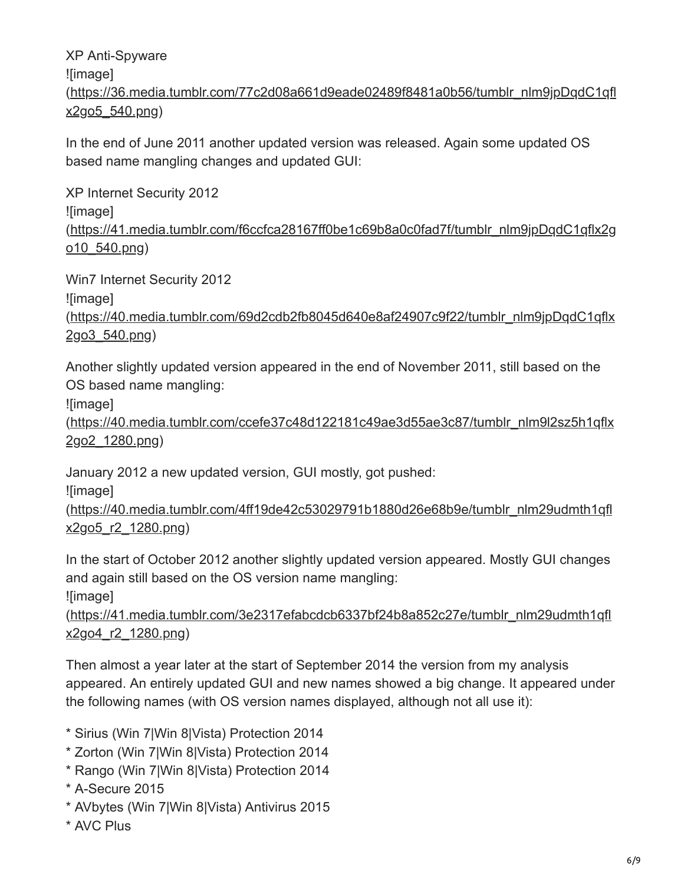XP Anti-Spyware ![image] [\(https://36.media.tumblr.com/77c2d08a661d9eade02489f8481a0b56/tumblr\\_nlm9jpDqdC1qfl](https://36.media.tumblr.com/77c2d08a661d9eade02489f8481a0b56/tumblr_nlm9jpDqdC1qflx2go5_540.png) x2go5\_540.png)

In the end of June 2011 another updated version was released. Again some updated OS based name mangling changes and updated GUI:

XP Internet Security 2012 ![image] [\(https://41.media.tumblr.com/f6ccfca28167ff0be1c69b8a0c0fad7f/tumblr\\_nlm9jpDqdC1qflx2g](https://41.media.tumblr.com/f6ccfca28167ff0be1c69b8a0c0fad7f/tumblr_nlm9jpDqdC1qflx2go10_540.png) o10\_540.png)

Win7 Internet Security 2012

![image]

[\(https://40.media.tumblr.com/69d2cdb2fb8045d640e8af24907c9f22/tumblr\\_nlm9jpDqdC1qflx](https://40.media.tumblr.com/69d2cdb2fb8045d640e8af24907c9f22/tumblr_nlm9jpDqdC1qflx2go3_540.png) 2go3\_540.png)

Another slightly updated version appeared in the end of November 2011, still based on the OS based name mangling:

![image]

[\(https://40.media.tumblr.com/ccefe37c48d122181c49ae3d55ae3c87/tumblr\\_nlm9l2sz5h1qflx](https://40.media.tumblr.com/ccefe37c48d122181c49ae3d55ae3c87/tumblr_nlm9l2sz5h1qflx2go2_1280.png) 2go2\_1280.png)

January 2012 a new updated version, GUI mostly, got pushed:

![image]

[\(https://40.media.tumblr.com/4ff19de42c53029791b1880d26e68b9e/tumblr\\_nlm29udmth1qfl](https://40.media.tumblr.com/4ff19de42c53029791b1880d26e68b9e/tumblr_nlm29udmth1qflx2go5_r2_1280.png) x2go5\_r2\_1280.png)

In the start of October 2012 another slightly updated version appeared. Mostly GUI changes and again still based on the OS version name mangling:

![image]

[\(https://41.media.tumblr.com/3e2317efabcdcb6337bf24b8a852c27e/tumblr\\_nlm29udmth1qfl](https://41.media.tumblr.com/3e2317efabcdcb6337bf24b8a852c27e/tumblr_nlm29udmth1qflx2go4_r2_1280.png) x2go4\_r2\_1280.png)

Then almost a year later at the start of September 2014 the version from my analysis appeared. An entirely updated GUI and new names showed a big change. It appeared under the following names (with OS version names displayed, although not all use it):

- \* Sirius (Win 7|Win 8|Vista) Protection 2014
- \* Zorton (Win 7|Win 8|Vista) Protection 2014
- \* Rango (Win 7|Win 8|Vista) Protection 2014
- \* A-Secure 2015
- \* AVbytes (Win 7|Win 8|Vista) Antivirus 2015
- \* AVC Plus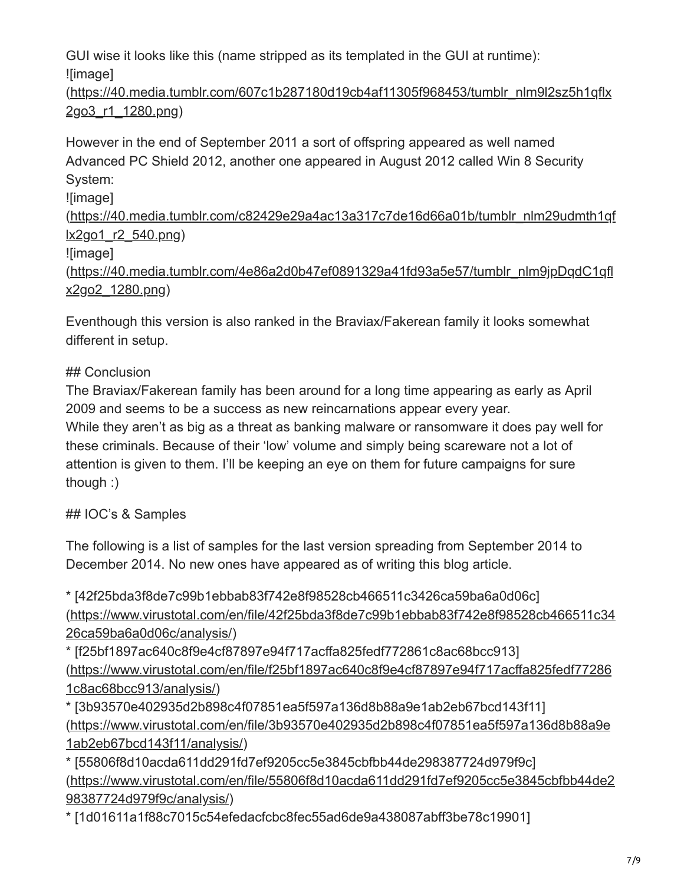GUI wise it looks like this (name stripped as its templated in the GUI at runtime): ![image]

[\(https://40.media.tumblr.com/607c1b287180d19cb4af11305f968453/tumblr\\_nlm9l2sz5h1qflx](https://40.media.tumblr.com/607c1b287180d19cb4af11305f968453/tumblr_nlm9l2sz5h1qflx2go3_r1_1280.png) 2go3\_r1\_1280.png)

However in the end of September 2011 a sort of offspring appeared as well named Advanced PC Shield 2012, another one appeared in August 2012 called Win 8 Security System:

![image]

[\(https://40.media.tumblr.com/c82429e29a4ac13a317c7de16d66a01b/tumblr\\_nlm29udmth1qf](https://40.media.tumblr.com/c82429e29a4ac13a317c7de16d66a01b/tumblr_nlm29udmth1qflx2go1_r2_540.png) lx2go1\_r2\_540.png)

![image]

[\(https://40.media.tumblr.com/4e86a2d0b47ef0891329a41fd93a5e57/tumblr\\_nlm9jpDqdC1qfl](https://40.media.tumblr.com/4e86a2d0b47ef0891329a41fd93a5e57/tumblr_nlm9jpDqdC1qflx2go2_1280.png) x2go2\_1280.png)

Eventhough this version is also ranked in the Braviax/Fakerean family it looks somewhat different in setup.

## ## Conclusion

The Braviax/Fakerean family has been around for a long time appearing as early as April 2009 and seems to be a success as new reincarnations appear every year. While they aren't as big as a threat as banking malware or ransomware it does pay well for these criminals. Because of their 'low' volume and simply being scareware not a lot of attention is given to them. I'll be keeping an eye on them for future campaigns for sure though :)

## ## IOC's & Samples

The following is a list of samples for the last version spreading from September 2014 to December 2014. No new ones have appeared as of writing this blog article.

\* [42f25bda3f8de7c99b1ebbab83f742e8f98528cb466511c3426ca59ba6a0d06c] [\(https://www.virustotal.com/en/file/42f25bda3f8de7c99b1ebbab83f742e8f98528cb466511c34](https://www.virustotal.com/en/file/42f25bda3f8de7c99b1ebbab83f742e8f98528cb466511c3426ca59ba6a0d06c/analysis/) 26ca59ba6a0d06c/analysis/)

\* [f25bf1897ac640c8f9e4cf87897e94f717acffa825fedf772861c8ac68bcc913] [\(https://www.virustotal.com/en/file/f25bf1897ac640c8f9e4cf87897e94f717acffa825fedf77286](https://www.virustotal.com/en/file/f25bf1897ac640c8f9e4cf87897e94f717acffa825fedf772861c8ac68bcc913/analysis/) 1c8ac68bcc913/analysis/)

\* [3b93570e402935d2b898c4f07851ea5f597a136d8b88a9e1ab2eb67bcd143f11] [\(https://www.virustotal.com/en/file/3b93570e402935d2b898c4f07851ea5f597a136d8b88a9e](https://www.virustotal.com/en/file/3b93570e402935d2b898c4f07851ea5f597a136d8b88a9e1ab2eb67bcd143f11/analysis/) 1ab2eb67bcd143f11/analysis/)

\* [55806f8d10acda611dd291fd7ef9205cc5e3845cbfbb44de298387724d979f9c] [\(https://www.virustotal.com/en/file/55806f8d10acda611dd291fd7ef9205cc5e3845cbfbb44de2](https://www.virustotal.com/en/file/55806f8d10acda611dd291fd7ef9205cc5e3845cbfbb44de298387724d979f9c/analysis/) 98387724d979f9c/analysis/)

\* [1d01611a1f88c7015c54efedacfcbc8fec55ad6de9a438087abff3be78c19901]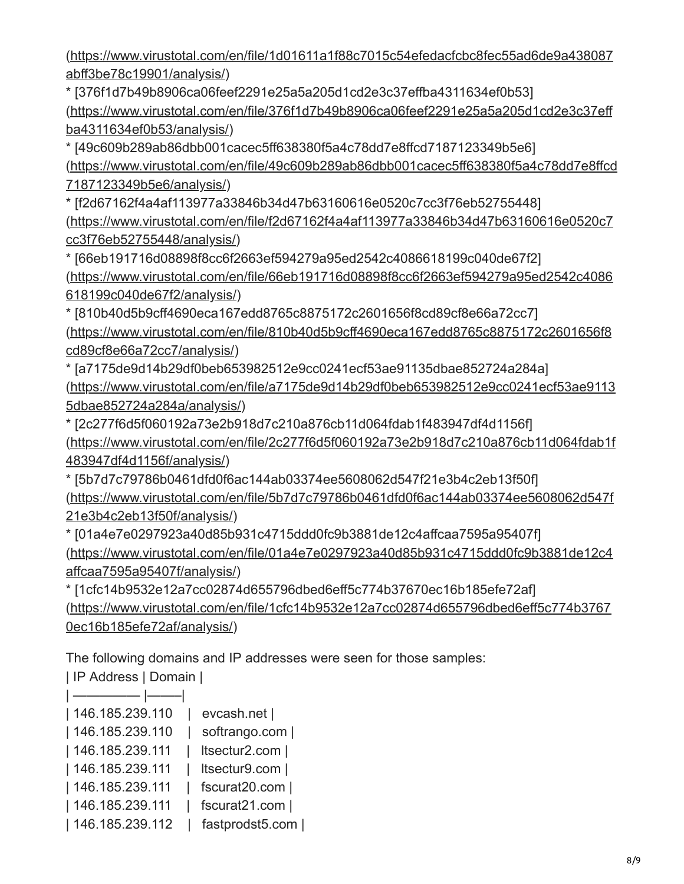[\(https://www.virustotal.com/en/file/1d01611a1f88c7015c54efedacfcbc8fec55ad6de9a438087](https://www.virustotal.com/en/file/1d01611a1f88c7015c54efedacfcbc8fec55ad6de9a438087abff3be78c19901/analysis/) abff3be78c19901/analysis/)

\* [376f1d7b49b8906ca06feef2291e25a5a205d1cd2e3c37effba4311634ef0b53] [\(https://www.virustotal.com/en/file/376f1d7b49b8906ca06feef2291e25a5a205d1cd2e3c37eff](https://www.virustotal.com/en/file/376f1d7b49b8906ca06feef2291e25a5a205d1cd2e3c37effba4311634ef0b53/analysis/) ba4311634ef0b53/analysis/)

\* [49c609b289ab86dbb001cacec5ff638380f5a4c78dd7e8ffcd7187123349b5e6] [\(https://www.virustotal.com/en/file/49c609b289ab86dbb001cacec5ff638380f5a4c78dd7e8ffcd](https://www.virustotal.com/en/file/49c609b289ab86dbb001cacec5ff638380f5a4c78dd7e8ffcd7187123349b5e6/analysis/) 7187123349b5e6/analysis/)

\* [f2d67162f4a4af113977a33846b34d47b63160616e0520c7cc3f76eb52755448] [\(https://www.virustotal.com/en/file/f2d67162f4a4af113977a33846b34d47b63160616e0520c7](https://www.virustotal.com/en/file/f2d67162f4a4af113977a33846b34d47b63160616e0520c7cc3f76eb52755448/analysis/) cc3f76eb52755448/analysis/)

\* [66eb191716d08898f8cc6f2663ef594279a95ed2542c4086618199c040de67f2] [\(https://www.virustotal.com/en/file/66eb191716d08898f8cc6f2663ef594279a95ed2542c4086](https://www.virustotal.com/en/file/66eb191716d08898f8cc6f2663ef594279a95ed2542c4086618199c040de67f2/analysis/) 618199c040de67f2/analysis/)

\* [810b40d5b9cff4690eca167edd8765c8875172c2601656f8cd89cf8e66a72cc7] [\(https://www.virustotal.com/en/file/810b40d5b9cff4690eca167edd8765c8875172c2601656f8](https://www.virustotal.com/en/file/810b40d5b9cff4690eca167edd8765c8875172c2601656f8cd89cf8e66a72cc7/analysis/) cd89cf8e66a72cc7/analysis/)

\* [a7175de9d14b29df0beb653982512e9cc0241ecf53ae91135dbae852724a284a] [\(https://www.virustotal.com/en/file/a7175de9d14b29df0beb653982512e9cc0241ecf53ae9113](https://www.virustotal.com/en/file/a7175de9d14b29df0beb653982512e9cc0241ecf53ae91135dbae852724a284a/analysis/) 5dbae852724a284a/analysis/)

\* [2c277f6d5f060192a73e2b918d7c210a876cb11d064fdab1f483947df4d1156f] [\(https://www.virustotal.com/en/file/2c277f6d5f060192a73e2b918d7c210a876cb11d064fdab1f](https://www.virustotal.com/en/file/2c277f6d5f060192a73e2b918d7c210a876cb11d064fdab1f483947df4d1156f/analysis/) 483947df4d1156f/analysis/)

\* [5b7d7c79786b0461dfd0f6ac144ab03374ee5608062d547f21e3b4c2eb13f50f] [\(https://www.virustotal.com/en/file/5b7d7c79786b0461dfd0f6ac144ab03374ee5608062d547f](https://www.virustotal.com/en/file/5b7d7c79786b0461dfd0f6ac144ab03374ee5608062d547f21e3b4c2eb13f50f/analysis/) 21e3b4c2eb13f50f/analysis/)

\* [01a4e7e0297923a40d85b931c4715ddd0fc9b3881de12c4affcaa7595a95407f] [\(https://www.virustotal.com/en/file/01a4e7e0297923a40d85b931c4715ddd0fc9b3881de12c4](https://www.virustotal.com/en/file/01a4e7e0297923a40d85b931c4715ddd0fc9b3881de12c4affcaa7595a95407f/analysis/) affcaa7595a95407f/analysis/)

\* [1cfc14b9532e12a7cc02874d655796dbed6eff5c774b37670ec16b185efe72af] [\(https://www.virustotal.com/en/file/1cfc14b9532e12a7cc02874d655796dbed6eff5c774b3767](https://www.virustotal.com/en/file/1cfc14b9532e12a7cc02874d655796dbed6eff5c774b37670ec16b185efe72af/analysis/) 0ec16b185efe72af/analysis/)

The following domains and IP addresses were seen for those samples:

| IP Address | Domain |

| $\overline{\phantom{a}}$ |                 |
|--------------------------|-----------------|
| 146.185.239.110          | evcash.net      |
| 146.185.239.110          | softrango.com   |
| 146.185.239.111          | Itsectur2.com   |
| 146.185.239.111          | Itsectur9.com   |
| 146.185.239.111          | fscurat20.com   |
| 146.185.239.111          | fscurat21.com   |
| 146.185.239.112          | fastprodst5.com |
|                          |                 |